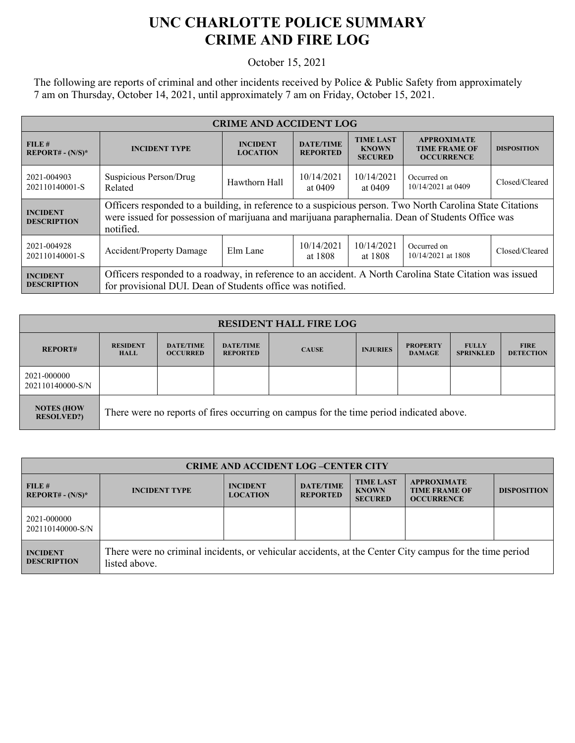## **UNC CHARLOTTE POLICE SUMMARY CRIME AND FIRE LOG**

October 15, 2021

The following are reports of criminal and other incidents received by Police & Public Safety from approximately 7 am on Thursday, October 14, 2021, until approximately 7 am on Friday, October 15, 2021.

| <b>CRIME AND ACCIDENT LOG</b>         |                                                                                                                                                                                                                            |                                    |                                     |                                                    |                                                                 |                    |  |
|---------------------------------------|----------------------------------------------------------------------------------------------------------------------------------------------------------------------------------------------------------------------------|------------------------------------|-------------------------------------|----------------------------------------------------|-----------------------------------------------------------------|--------------------|--|
| FILE#<br>$REPORT# - (N/S)*$           | <b>INCIDENT TYPE</b>                                                                                                                                                                                                       | <b>INCIDENT</b><br><b>LOCATION</b> | <b>DATE/TIME</b><br><b>REPORTED</b> | <b>TIME LAST</b><br><b>KNOWN</b><br><b>SECURED</b> | <b>APPROXIMATE</b><br><b>TIME FRAME OF</b><br><b>OCCURRENCE</b> | <b>DISPOSITION</b> |  |
| 2021-004903<br>202110140001-S         | Suspicious Person/Drug<br>Related                                                                                                                                                                                          | Hawthorn Hall                      | 10/14/2021<br>at 0409               | 10/14/2021<br>at 0409                              | Occurred on<br>10/14/2021 at 0409                               | Closed/Cleared     |  |
| <b>INCIDENT</b><br><b>DESCRIPTION</b> | Officers responded to a building, in reference to a suspicious person. Two North Carolina State Citations<br>were issued for possession of marijuana and marijuana paraphernalia. Dean of Students Office was<br>notified. |                                    |                                     |                                                    |                                                                 |                    |  |
| 2021-004928<br>202110140001-S         | <b>Accident/Property Damage</b>                                                                                                                                                                                            | Elm Lane                           | 10/14/2021<br>at 1808               | 10/14/2021<br>at 1808                              | Occurred on<br>10/14/2021 at 1808                               | Closed/Cleared     |  |
| <b>INCIDENT</b><br><b>DESCRIPTION</b> | Officers responded to a roadway, in reference to an accident. A North Carolina State Citation was issued<br>for provisional DUI. Dean of Students office was notified.                                                     |                                    |                                     |                                                    |                                                                 |                    |  |

| <b>RESIDENT HALL FIRE LOG</b>          |                                                                                         |                                     |                                     |              |                 |                                  |                                  |                                 |
|----------------------------------------|-----------------------------------------------------------------------------------------|-------------------------------------|-------------------------------------|--------------|-----------------|----------------------------------|----------------------------------|---------------------------------|
| <b>REPORT#</b>                         | <b>RESIDENT</b><br><b>HALL</b>                                                          | <b>DATE/TIME</b><br><b>OCCURRED</b> | <b>DATE/TIME</b><br><b>REPORTED</b> | <b>CAUSE</b> | <b>INJURIES</b> | <b>PROPERTY</b><br><b>DAMAGE</b> | <b>FULLY</b><br><b>SPRINKLED</b> | <b>FIRE</b><br><b>DETECTION</b> |
| 2021-000000<br>202110140000-S/N        |                                                                                         |                                     |                                     |              |                 |                                  |                                  |                                 |
| <b>NOTES (HOW</b><br><b>RESOLVED?)</b> | There were no reports of fires occurring on campus for the time period indicated above. |                                     |                                     |              |                 |                                  |                                  |                                 |

| <b>CRIME AND ACCIDENT LOG-CENTER CITY</b> |                                                                                                                          |                                    |                                     |                                                    |                                                                 |                    |
|-------------------------------------------|--------------------------------------------------------------------------------------------------------------------------|------------------------------------|-------------------------------------|----------------------------------------------------|-----------------------------------------------------------------|--------------------|
| FILE#<br>$REPORT# - (N/S)*$               | <b>INCIDENT TYPE</b>                                                                                                     | <b>INCIDENT</b><br><b>LOCATION</b> | <b>DATE/TIME</b><br><b>REPORTED</b> | <b>TIME LAST</b><br><b>KNOWN</b><br><b>SECURED</b> | <b>APPROXIMATE</b><br><b>TIME FRAME OF</b><br><b>OCCURRENCE</b> | <b>DISPOSITION</b> |
| 2021-000000<br>202110140000-S/N           |                                                                                                                          |                                    |                                     |                                                    |                                                                 |                    |
| <b>INCIDENT</b><br><b>DESCRIPTION</b>     | There were no criminal incidents, or vehicular accidents, at the Center City campus for the time period<br>listed above. |                                    |                                     |                                                    |                                                                 |                    |